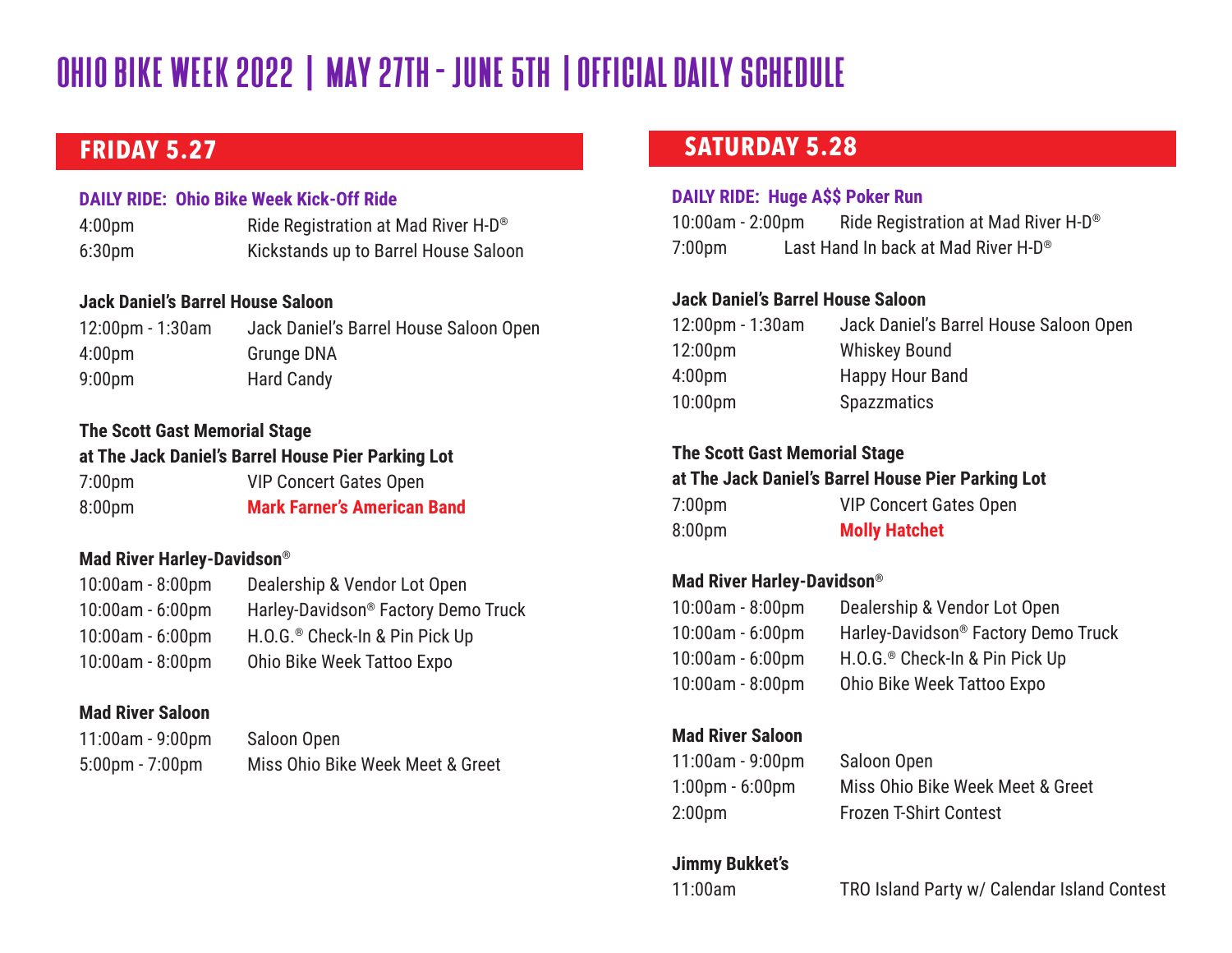## **FRIDAY 5.27**

### **DAILY RIDE: Ohio Bike Week Kick-Off Ride**

4:00pm Ride Registration at Mad River H-D® 6:30pm Kickstands up to Barrel House Saloon

### **Jack Daniel's Barrel House Saloon**

12:00pm - 1:30am Jack Daniel's Barrel House Saloon Open 4:00pm Grunge DNA 9:00pm Hard Candy

### **The Scott Gast Memorial Stage**

### **at The Jack Daniel's Barrel House Pier Parking Lot**

| 7:00 <sub>pm</sub> | <b>VIP Concert Gates Open</b>      |
|--------------------|------------------------------------|
| 8:00pm             | <b>Mark Farner's American Band</b> |

### **Mad River Harley-Davidson®**

| Dealership & Vendor Lot Open                    |
|-------------------------------------------------|
| Harley-Davidson <sup>®</sup> Factory Demo Truck |
| H.O.G. <sup>®</sup> Check-In & Pin Pick Up      |
| Ohio Bike Week Tattoo Expo                      |
|                                                 |

### **Mad River Saloon**

| $11:00am - 9:00pm$                | Saloon Open                      |
|-----------------------------------|----------------------------------|
| $5:00 \text{pm} - 7:00 \text{pm}$ | Miss Ohio Bike Week Meet & Greet |

### **SATURDAY 5.28**

### **DAILY RIDE: Huge A\$\$ Poker Run**

10:00am - 2:00pm Ride Registration at Mad River H-D® 7:00pm Last Hand In back at Mad River H-D®

### **Jack Daniel's Barrel House Saloon**

| 12:00pm - 1:30am | Jack Daniel's Barrel House Saloon Open |
|------------------|----------------------------------------|
| 12:00pm          | <b>Whiskey Bound</b>                   |
| 4:00pm           | Happy Hour Band                        |
| $10:00$ pm       | <b>Spazzmatics</b>                     |

### **The Scott Gast Memorial Stage**

### **at The Jack Daniel's Barrel House Pier Parking Lot**

| 7:00pm | <b>VIP Concert Gates Open</b> |
|--------|-------------------------------|
| 8:00pm | <b>Molly Hatchet</b>          |

### **Mad River Harley-Davidson®**

| 10:00am - 8:00pm | Dealership & Vendor Lot Open                    |
|------------------|-------------------------------------------------|
| 10:00am - 6:00pm | Harley-Davidson <sup>®</sup> Factory Demo Truck |
| 10:00am - 6:00pm | H.O.G. <sup>®</sup> Check-In & Pin Pick Up      |
| 10:00am - 8:00pm | Ohio Bike Week Tattoo Expo                      |

### **Mad River Saloon**

```
11:00am - 9:00pm Saloon Open
```
1:00pm - 6:00pm Miss Ohio Bike Week Meet & Greet 2:00pm Frozen T-Shirt Contest

### **Jimmy Bukket's**

11:00am TRO Island Party w/ Calendar Island Contest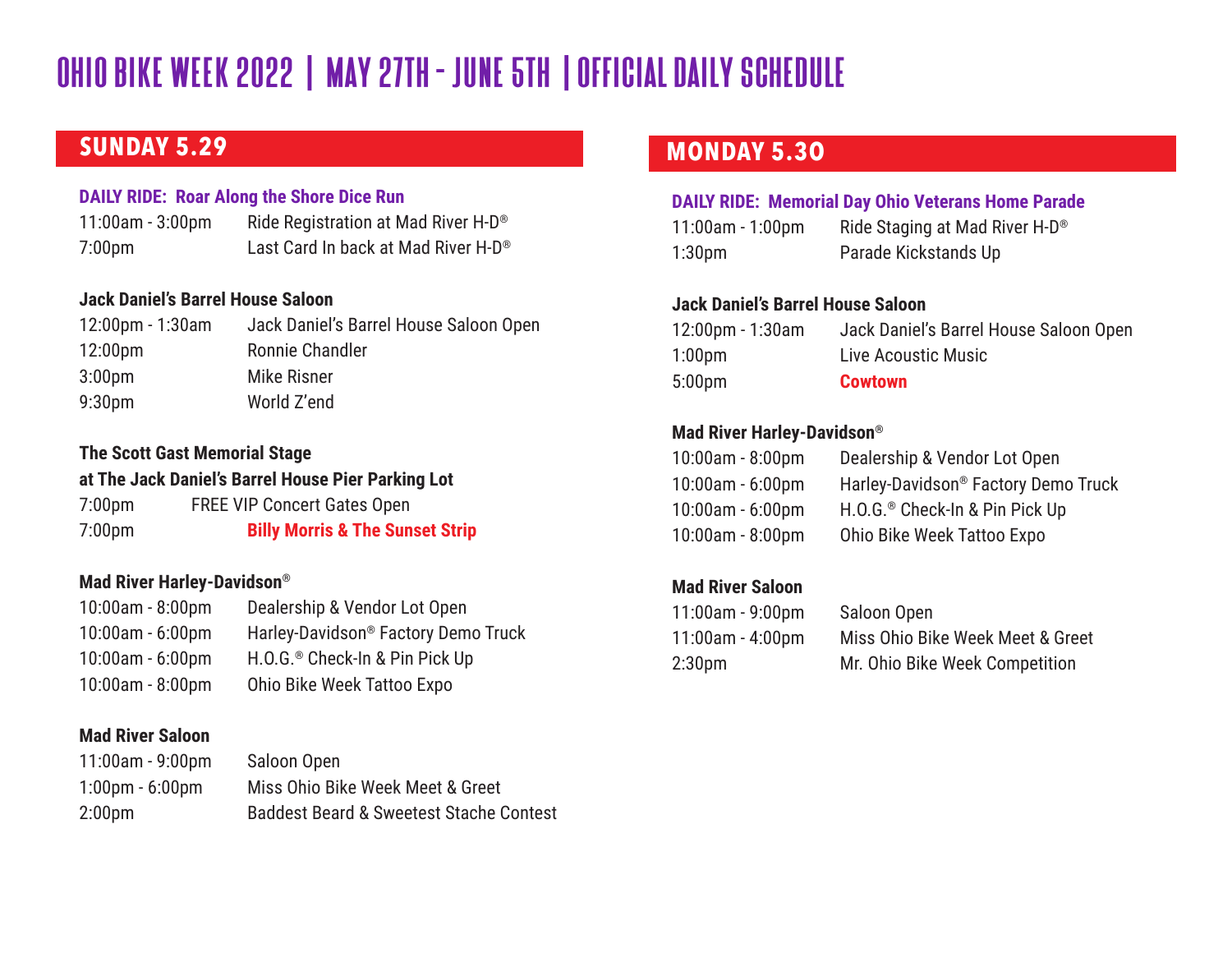### **SUNDAY 5.29**

### **DAILY RIDE: Roar Along the Shore Dice Run**

11:00am - 3:00pm Ride Registration at Mad River H-D® 7:00pm Last Card In back at Mad River H-D®

### **Jack Daniel's Barrel House Saloon**

| $12:00 \text{pm} - 1:30 \text{am}$ | Jack Daniel's Barrel House Saloon Open |
|------------------------------------|----------------------------------------|
| 12:00 <sub>pm</sub>                | Ronnie Chandler                        |
| 3:00 <sub>pm</sub>                 | Mike Risner                            |
| 9:30 <sub>pm</sub>                 | World Z'end                            |

### **The Scott Gast Memorial Stage**

### **at The Jack Daniel's Barrel House Pier Parking Lot**

7:00pm FREE VIP Concert Gates Open 7:00pm **Billy Morris & The Sunset Strip**

### **Mad River Harley-Davidson®**

| 10:00am - 8:00pm | Dealership & Vendor Lot Open                    |
|------------------|-------------------------------------------------|
| 10:00am - 6:00pm | Harley-Davidson <sup>®</sup> Factory Demo Truck |
| 10:00am - 6:00pm | H.O.G. <sup>®</sup> Check-In & Pin Pick Up      |
| 10:00am - 8:00pm | Ohio Bike Week Tattoo Expo                      |

### **Mad River Saloon**

11:00am - 9:00pm Saloon Open 1:00pm - 6:00pm Miss Ohio Bike Week Meet & Greet 2:00pm Baddest Beard & Sweetest Stache Contest

### **MONDAY 5.3O**

### **DAILY RIDE: Memorial Day Ohio Veterans Home Parade**

| $11:00$ am - 1:00pm | Ride Staging at Mad River H-D <sup>®</sup> |
|---------------------|--------------------------------------------|
| 1:30 <sub>pm</sub>  | Parade Kickstands Up                       |

### **Jack Daniel's Barrel House Saloon**

| 12:00pm - 1:30am   | Jack Daniel's Barrel House Saloon Open |
|--------------------|----------------------------------------|
| 1:00 <sub>pm</sub> | Live Acoustic Music                    |
| 5:00 <sub>pm</sub> | <b>Cowtown</b>                         |

### **Mad River Harley-Davidson®**

| 10:00am - 8:00pm | Dealership & Vendor Lot Open               |
|------------------|--------------------------------------------|
| 10:00am - 6:00pm | Harley-Davidson® Factory Demo Truck        |
| 10:00am - 6:00pm | H.O.G. <sup>®</sup> Check-In & Pin Pick Up |
| 10:00am - 8:00pm | Ohio Bike Week Tattoo Expo                 |

### **Mad River Saloon**

| 11:00am - 9:00pm | Saloon Open                      |
|------------------|----------------------------------|
| 11:00am - 4:00pm | Miss Ohio Bike Week Meet & Greet |
| 2:30pm           | Mr. Ohio Bike Week Competition   |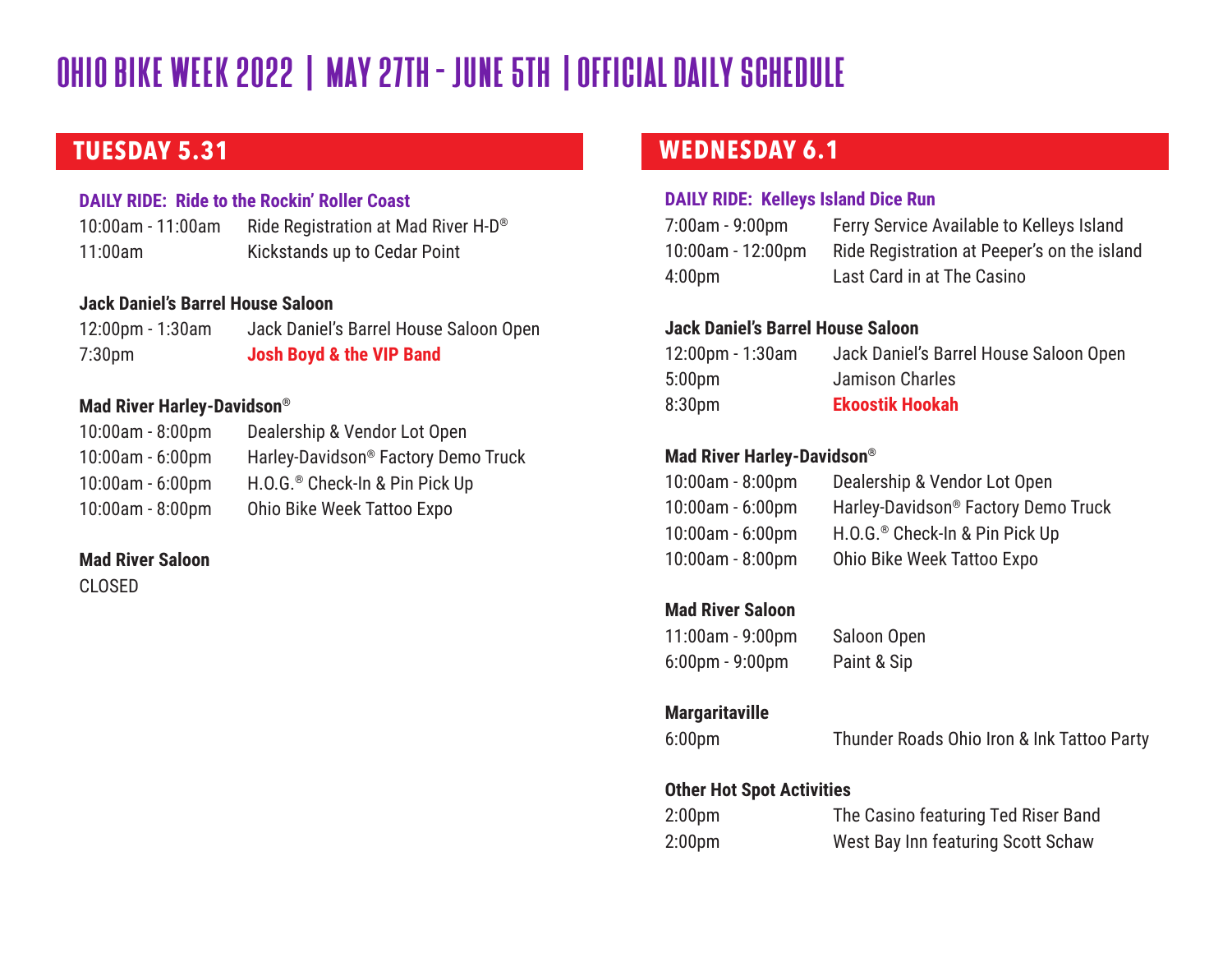### **TUESDAY 5.31**

### **DAILY RIDE: Ride to the Rockin' Roller Coast**

10:00am - 11:00am Ride Registration at Mad River H-D® 11:00am Kickstands up to Cedar Point

### **Jack Daniel's Barrel House Saloon**

| $12:00$ pm - 1:30am | Jack Daniel's Barrel House Saloon Open |
|---------------------|----------------------------------------|
| 7:30 <sub>pm</sub>  | Josh Boyd & the VIP Band               |

### **Mad River Harley-Davidson®**

| $10:00$ am - $8:00$ pm | Dealership & Vendor Lot Open                    |
|------------------------|-------------------------------------------------|
| $10:00$ am - $6:00$ pm | Harley-Davidson <sup>®</sup> Factory Demo Truck |
| $10:00$ am - $6:00$ pm | H.O.G. <sup>®</sup> Check-In & Pin Pick Up      |
| $10:00$ am - 8:00pm    | Ohio Bike Week Tattoo Expo                      |

### **Mad River Saloon**

CLOSED

## **WEDNESDAY 6.1**

### **DAILY RIDE: Kelleys Island Dice Run**

| 7:00am - 9:00pm   | Ferry Service Available to Kelleys Island   |
|-------------------|---------------------------------------------|
| 10:00am - 12:00pm | Ride Registration at Peeper's on the island |
| 4:00pm            | Last Card in at The Casino                  |

### **Jack Daniel's Barrel House Saloon**

| 12:00pm - 1:30am | Jack Daniel's Barrel House Saloon Open |
|------------------|----------------------------------------|
| 5:00pm           | Jamison Charles                        |
| 8:30pm           | <b>Ekoostik Hookah</b>                 |

### **Mad River Harley-Davidson®**

| 10:00am - 8:00pm       | Dealership & Vendor Lot Open               |
|------------------------|--------------------------------------------|
| $10:00$ am - $6:00$ pm | Harley-Davidson® Factory Demo Truck        |
| 10:00am - 6:00pm       | H.O.G. <sup>®</sup> Check-In & Pin Pick Up |
| $10:00$ am - $8:00$ pm | Ohio Bike Week Tattoo Expo                 |

### **Mad River Saloon**

11:00am - 9:00pm Saloon Open 6:00pm - 9:00pm Paint & Sip

### **Margaritaville**

6:00pm Thunder Roads Ohio Iron & Ink Tattoo Party

### **Other Hot Spot Activities**

| 2:00 <sub>pm</sub> | The Casino featuring Ted Riser Band |
|--------------------|-------------------------------------|
| 2:00 <sub>pm</sub> | West Bay Inn featuring Scott Schaw  |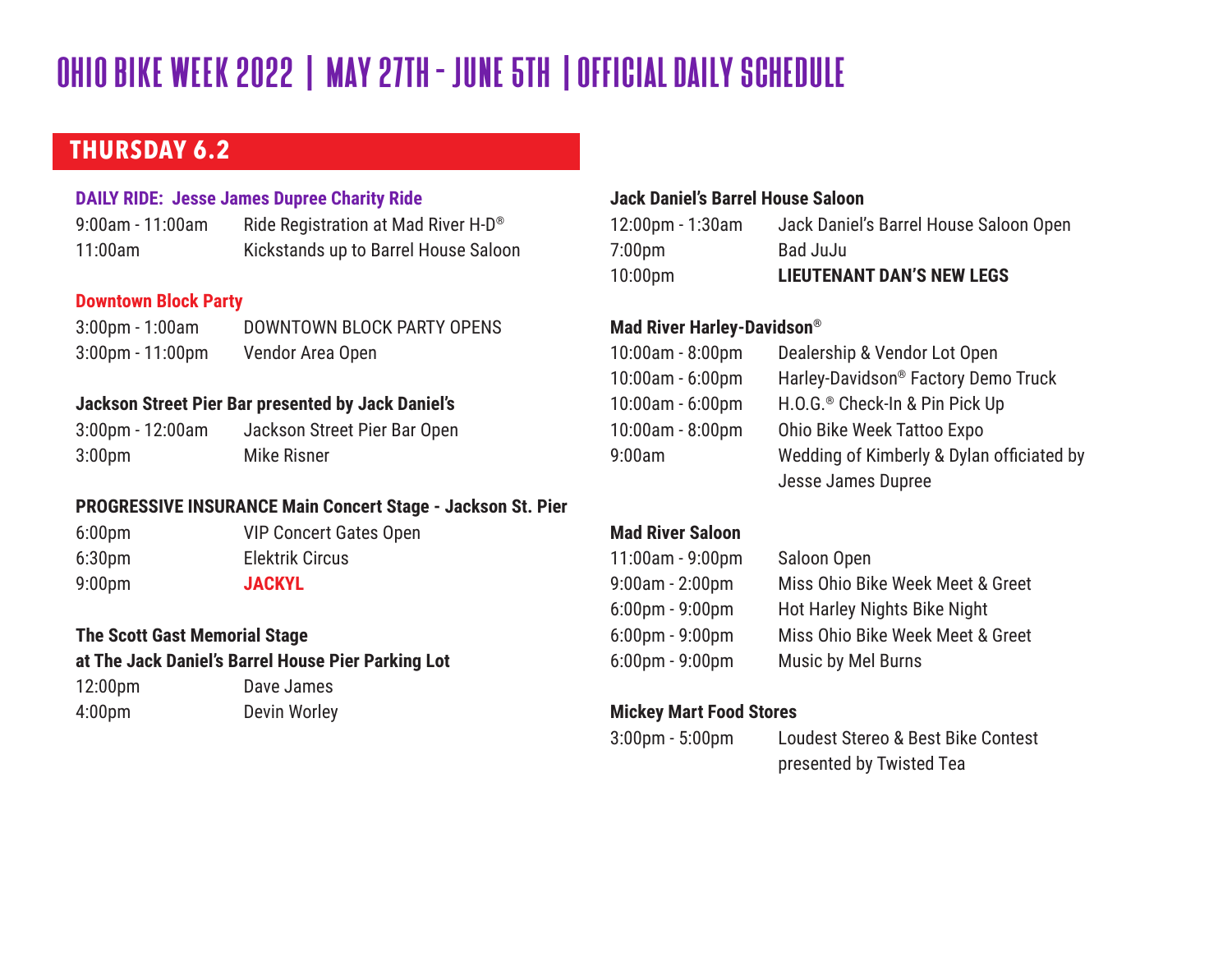### **THURSDAY 6.2**

### **DAILY RIDE: Jesse James Dupree Charity Ride**

| $9:00$ am - 11:00am | Ride Registration at Mad River H-D <sup>®</sup> |
|---------------------|-------------------------------------------------|
| 11:00am             | Kickstands up to Barrel House Saloon            |

### **Downtown Block Party**

| $3:00 \text{pm} - 1:00 \text{am}$  | DOWNTOWN BLOCK PARTY OPENS |
|------------------------------------|----------------------------|
| $3:00 \text{pm} - 11:00 \text{pm}$ | Vendor Area Open           |

### **Jackson Street Pier Bar presented by Jack Daniel's**

3:00pm - 12:00am Jackson Street Pier Bar Open 3:00pm Mike Risner

### **PROGRESSIVE INSURANCE Main Concert Stage - Jackson St. Pier**

6:00pm VIP Concert Gates Open 6:30pm Elektrik Circus 9:00pm **JACKYL**

### **The Scott Gast Memorial Stage at The Jack Daniel's Barrel House Pier Parking Lot**

12:00pm Dave James 4:00pm Devin Worley

### **Jack Daniel's Barrel House Saloon**

| $12:00 \text{pm} - 1:30 \text{am}$ | Jack Daniel's Barrel House Saloon Open |
|------------------------------------|----------------------------------------|
| 7:00 <sub>pm</sub>                 | Bad JuJu                               |
| $10:00$ pm                         | <b>LIEUTENANT DAN'S NEW LEGS</b>       |

### **Mad River Harley-Davidson®**

| 10:00am - 8:00pm | Dealership & Vendor Lot Open               |
|------------------|--------------------------------------------|
| 10:00am - 6:00pm | Harley-Davidson® Factory Demo Truck        |
| 10:00am - 6:00pm | H.O.G. <sup>®</sup> Check-In & Pin Pick Up |
| 10:00am - 8:00pm | Ohio Bike Week Tattoo Expo                 |
| 9:00am           | Wedding of Kimberly & Dylan officiated by  |
|                  | Jesse James Dupree                         |

#### **Mad River Saloon**

| 11:00am - 9:00pm      | Saloon Open                      |
|-----------------------|----------------------------------|
| 9:00am - 2:00pm       | Miss Ohio Bike Week Meet & Greet |
| $6:00$ pm - 9:00pm    | Hot Harley Nights Bike Night     |
| $6:00$ pm - $9:00$ pm | Miss Ohio Bike Week Meet & Greet |
| 6:00pm - 9:00pm       | Music by Mel Burns               |

### **Mickey Mart Food Stores**

3:00pm - 5:00pm Loudest Stereo & Best Bike Contest presented by Twisted Tea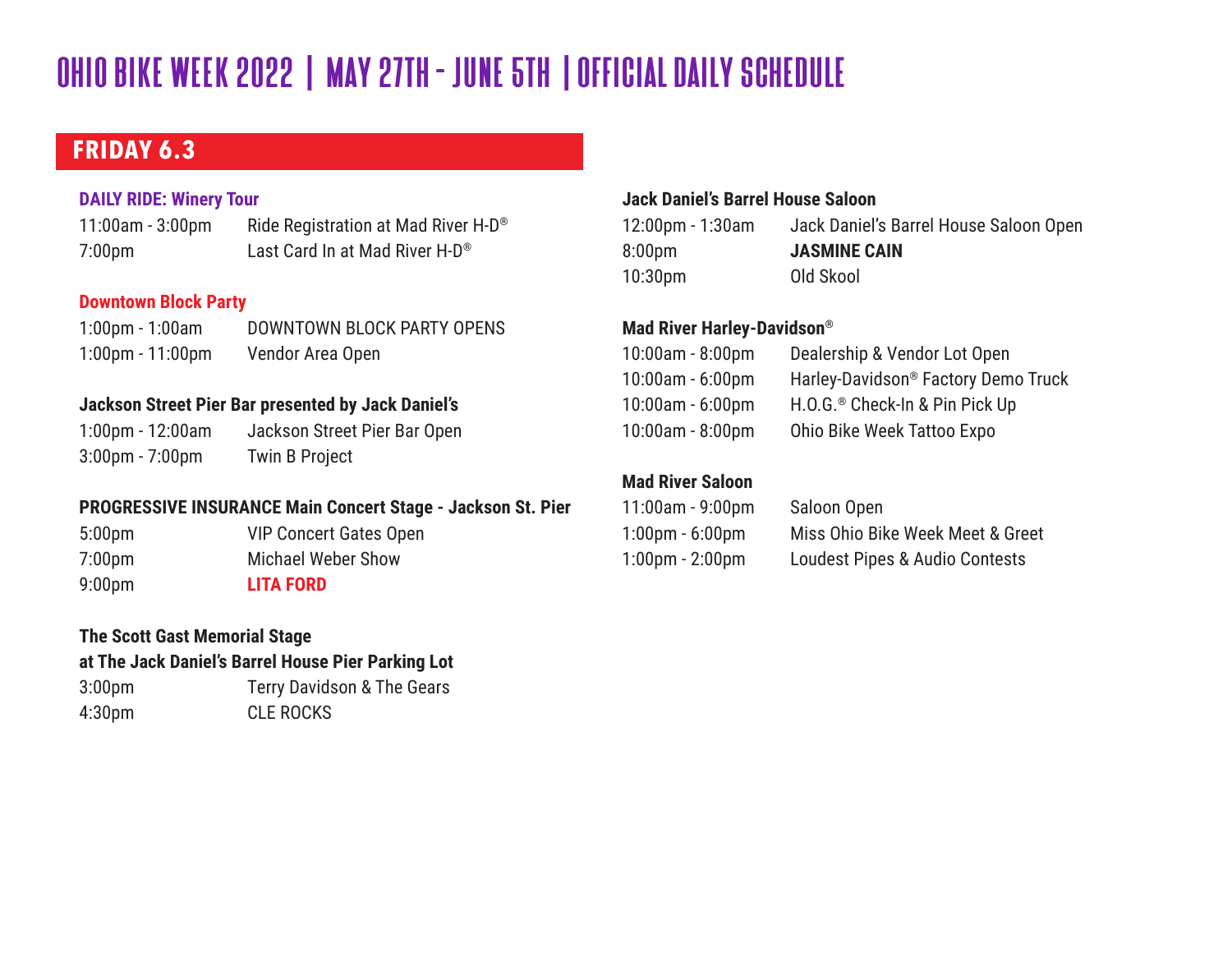## **FRIDAY 6.3**

### **DAILY RIDE: Winery Tour**

11:00am - 3:00pm Ride Registration at Mad River H-D® 7:00pm Last Card In at Mad River H-D®

### **Downtown Block Party**

| $1:00 \text{pm} - 1:00 \text{am}$  | DOWNTOWN BLOCK PARTY OPENS |
|------------------------------------|----------------------------|
| $1:00 \text{pm} - 11:00 \text{pm}$ | Vendor Area Open           |

### **Jackson Street Pier Bar presented by Jack Daniel's**

1:00pm - 12:00am Jackson Street Pier Bar Open 3:00pm - 7:00pm Twin B Project

### **PROGRESSIVE INSURANCE Main Concert Stage - Jackson St. Pier**

5:00pm VIP Concert Gates Open

7:00pm Michael Weber Show 9:00pm **LITA FORD** 

#### **The Scott Gast Memorial Stage**

### **at The Jack Daniel's Barrel House Pier Parking Lot**

3:00pm Terry Davidson & The Gears 4:30pm CLE ROCKS

### **Jack Daniel's Barrel House Saloon**

| $12:00 \text{pm} - 1:30 \text{am}$ | Jack Daniel's Barrel House Saloon Open |
|------------------------------------|----------------------------------------|
| 8:00 <sub>pm</sub>                 | <b>JASMINE CAIN</b>                    |
| 10:30 <sub>pm</sub>                | Old Skool                              |

### **Mad River Harley-Davidson®**

| 10:00am - 8:00pm | Dealership & Vendor Lot Open               |
|------------------|--------------------------------------------|
| 10:00am - 6:00pm | Harley-Davidson® Factory Demo Truck        |
| 10:00am - 6:00pm | H.O.G. <sup>®</sup> Check-In & Pin Pick Up |
| 10:00am - 8:00pm | Ohio Bike Week Tattoo Expo                 |
|                  |                                            |

### **Mad River Saloon**

| 11:00am - 9:00pm                  | Saloon Open                               |
|-----------------------------------|-------------------------------------------|
| $1:00 \text{pm} - 6:00 \text{pm}$ | Miss Ohio Bike Week Meet & Greet          |
| $1:00 \text{pm} - 2:00 \text{pm}$ | <b>Loudest Pipes &amp; Audio Contests</b> |